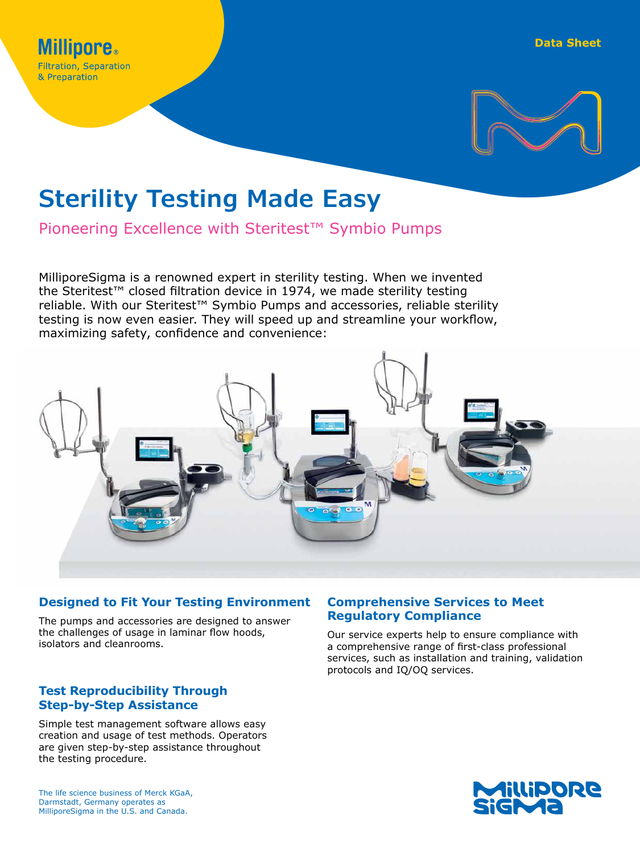

# **Sterility Testing Made Easy**

Pioneering Excellence with Steritest™ Symbio Pumps

MilliporeSigma is a renowned expert in sterility testing. When we invented the Steritest™ closed filtration device in 1974, we made sterility testing reliable. With our Steritest<sup>™</sup> Symbio Pumps and accessories, reliable sterility testing is now even easier. They will speed up and streamline your workflow, maximizing safety, confidence and convenience:



# **Designed to Fit Your Testing Environment**

The pumps and accessories are designed to answer the challenges of usage in laminar flow hoods, isolators and cleanrooms.

# **Test Reproducibility Through Step-by-Step Assistance**

Simple test management software allows easy creation and usage of test methods. Operators are given step-by-step assistance throughout the testing procedure.

# **Comprehensive Services to Meet Regulatory Compliance**

Our service experts help to ensure compliance with a comprehensive range of first-class professional services, such as installation and training, validation protocols and IQ/OQ services.

The life science business of Merck KGaA, Darmstadt, Germany operates as MilliporeSigma in the U.S. and Canada.

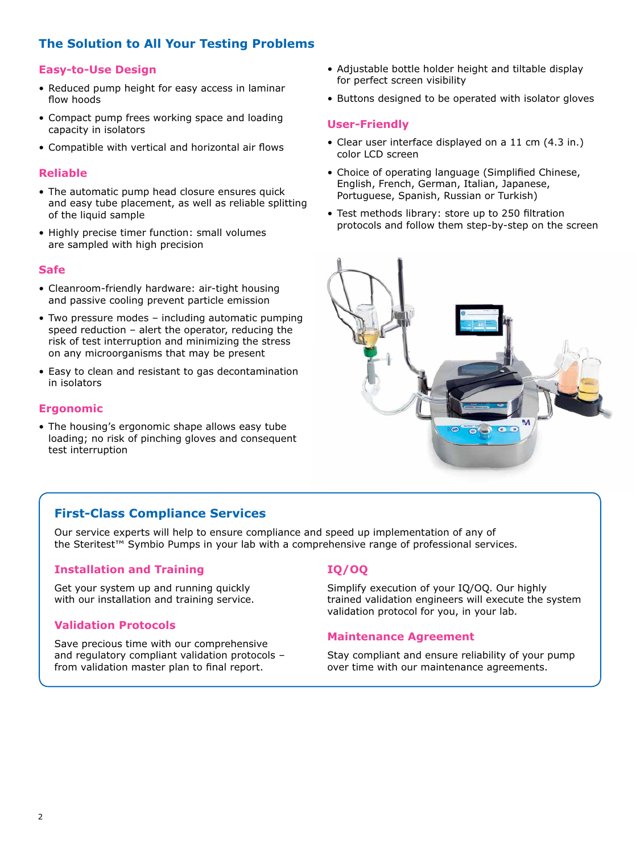# **The Solution to All Your Testing Problems**

# **Easy-to-Use Design**

- Reduced pump height for easy access in laminar flow hoods
- Compact pump frees working space and loading capacity in isolators
- Compatible with vertical and horizontal air flows

# **Reliable**

- The automatic pump head closure ensures quick and easy tube placement, as well as reliable splitting of the liquid sample
- Highly precise timer function: small volumes are sampled with high precision

#### **Safe**

- Cleanroom-friendly hardware: air-tight housing and passive cooling prevent particle emission
- Two pressure modes including automatic pumping speed reduction – alert the operator, reducing the risk of test interruption and minimizing the stress on any microorganisms that may be present
- Easy to clean and resistant to gas decontamination in isolators

# **Ergonomic**

• The housing's ergonomic shape allows easy tube loading; no risk of pinching gloves and consequent test interruption

# **First-Class Compliance Services**

Our service experts will help to ensure compliance and speed up implementation of any of the Steritest™ Symbio Pumps in your lab with a comprehensive range of professional services.

#### **Installation and Training**

Get your system up and running quickly with our installation and training service.

# **Validation Protocols**

Save precious time with our comprehensive and regulatory compliant validation protocols – from validation master plan to final report.

- Adjustable bottle holder height and tiltable display for perfect screen visibility
- Buttons designed to be operated with isolator gloves

#### **User-Friendly**

- Clear user interface displayed on a 11 cm (4.3 in.) color LCD screen
- Choice of operating language (Simplified Chinese, English, French, German, Italian, Japanese, Portuguese, Spanish, Russian or Turkish)
- Test methods library: store up to 250 filtration protocols and follow them step-by-step on the screen



# **IQ/OQ**

Simplify execution of your IQ/OQ. Our highly trained validation engineers will execute the system validation protocol for you, in your lab.

#### **Maintenance Agreement**

Stay compliant and ensure reliability of your pump over time with our maintenance agreements.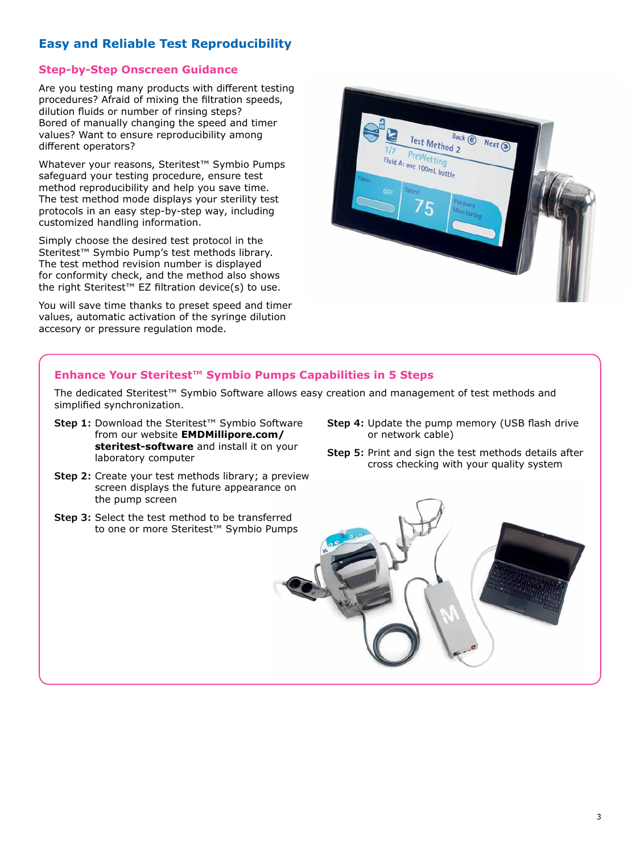# **Easy and Reliable Test Reproducibility**

# **Step-by-Step Onscreen Guidance**

Are you testing many products with different testing procedures? Afraid of mixing the filtration speeds, dilution fluids or number of rinsing steps? Bored of manually changing the speed and timer values? Want to ensure reproducibility among different operators?

Whatever your reasons, Steritest™ Symbio Pumps safeguard your testing procedure, ensure test method reproducibility and help you save time. The test method mode displays your sterility test protocols in an easy step-by-step way, including customized handling information.

Simply choose the desired test protocol in the Steritest™ Symbio Pump's test methods library. The test method revision number is displayed for conformity check, and the method also shows the right Steritest™ EZ filtration device(s) to use.

You will save time thanks to preset speed and timer values, automatic activation of the syringe dilution accesory or pressure regulation mode.



# **Enhance Your Steritest™ Symbio Pumps Capabilities in 5 Steps**

The dedicated Steritest™ Symbio Software allows easy creation and management of test methods and simplified synchronization.

- **Step 1:** Download the Steritest™ Symbio Software from our website **EM[DMillipore.com/](http://www.emdmillipore.com/steritest-software) [steritest-software](http://www.emdmillipore.com/steritest-software)** and install it on your laboratory computer
- **Step 2:** Create your test methods library; a preview screen displays the future appearance on the pump screen
- **Step 3:** Select the test method to be transferred to one or more Steritest™ Symbio Pumps
- **Step 4:** Update the pump memory (USB flash drive or network cable)
- **Step 5:** Print and sign the test methods details after cross checking with your quality system

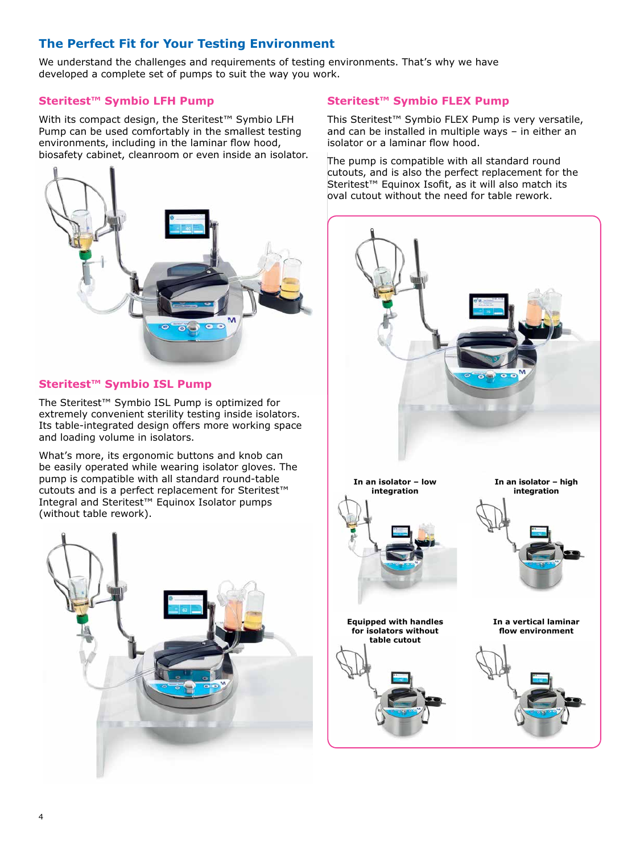# **The Perfect Fit for Your Testing Environment**

We understand the challenges and requirements of testing environments. That's why we have developed a complete set of pumps to suit the way you work.

# **Steritest™ Symbio LFH Pump**

With its compact design, the Steritest™ Symbio LFH Pump can be used comfortably in the smallest testing environments, including in the laminar flow hood, biosafety cabinet, cleanroom or even inside an isolator.



# **Steritest™ Symbio ISL Pump**

The Steritest™ Symbio ISL Pump is optimized for extremely convenient sterility testing inside isolators. Its table-integrated design offers more working space and loading volume in isolators.

What's more, its ergonomic buttons and knob can be easily operated while wearing isolator gloves. The pump is compatible with all standard round-table cutouts and is a perfect replacement for Steritest™ Integral and Steritest™ Equinox Isolator pumps (without table rework).



# **Steritest™ Symbio FLEX Pump**

This Steritest™ Symbio FLEX Pump is very versatile, and can be installed in multiple ways – in either an isolator or a laminar flow hood.

The pump is compatible with all standard round cutouts, and is also the perfect replacement for the Steritest™ Equinox Isofit, as it will also match its oval cutout without the need for table rework.

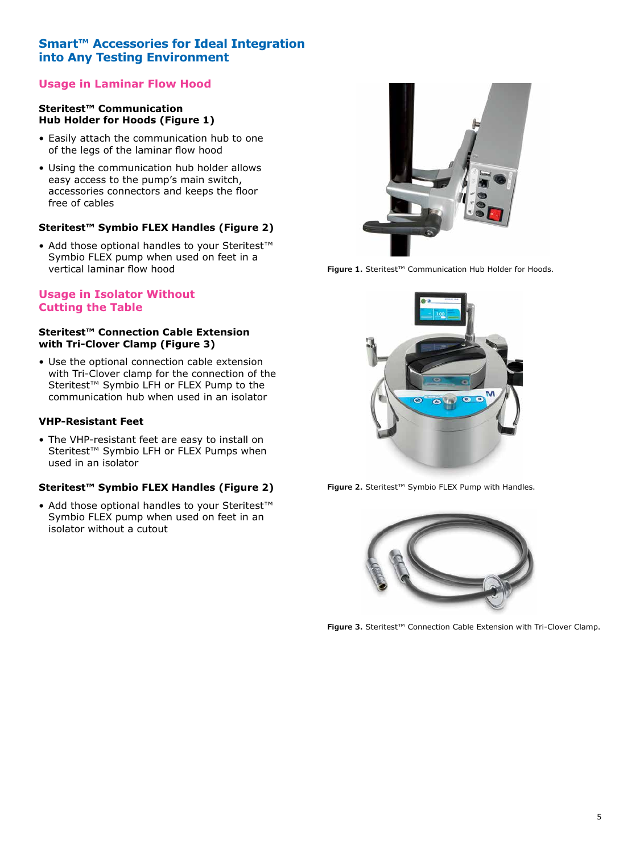# **Smart™ Accessories for Ideal Integration into Any Testing Environment**

# **Usage in Laminar Flow Hood**

#### **Steritest™ Communication Hub Holder for Hoods (Figure 1)**

- Easily attach the communication hub to one of the legs of the laminar flow hood
- Using the communication hub holder allows easy access to the pump's main switch, accessories connectors and keeps the floor free of cables

# **Steritest™ Symbio FLEX Handles (Figure 2)**

• Add those optional handles to your Steritest™ Symbio FLEX pump when used on feet in a vertical laminar flow hood

# **Usage in Isolator Without Cutting the Table**

#### **Steritest™ Connection Cable Extension with Tri-Clover Clamp (Figure 3)**

• Use the optional connection cable extension with Tri-Clover clamp for the connection of the Steritest™ Symbio LFH or FLEX Pump to the communication hub when used in an isolator

#### **VHP-Resistant Feet**

• The VHP-resistant feet are easy to install on Steritest<sup>™</sup> Symbio LFH or FLEX Pumps when used in an isolator

# **Steritest™ Symbio FLEX Handles (Figure 2)**

• Add those optional handles to your Steritest™ Symbio FLEX pump when used on feet in an isolator without a cutout



**Figure 1.** Steritest™ Communication Hub Holder for Hoods.



**Figure 2.** Steritest™ Symbio FLEX Pump with Handles.



**Figure 3.** Steritest™ Connection Cable Extension with Tri-Clover Clamp.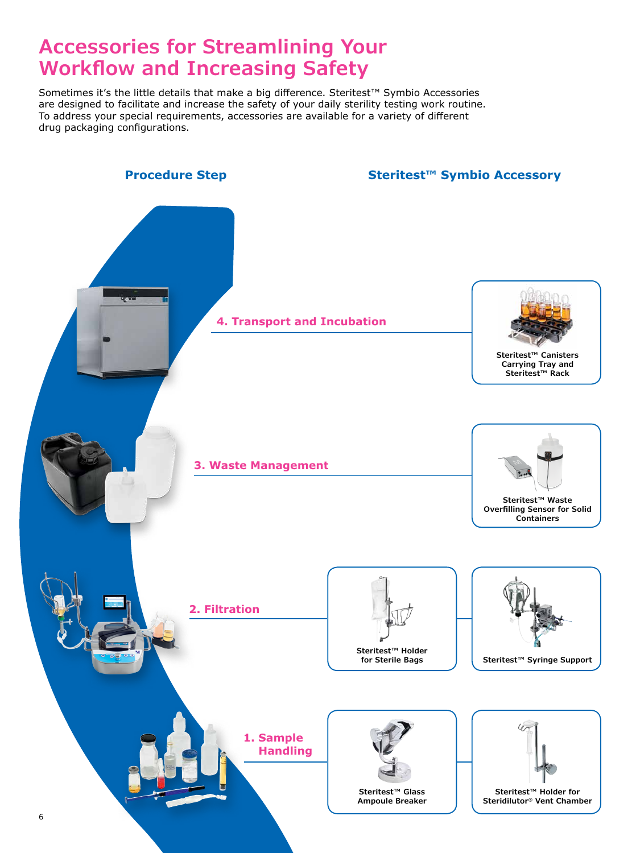# **Accessories for Streamlining Your Workflow and Increasing Safety**

Sometimes it's the little details that make a big difference. Steritest™ Symbio Accessories are designed to facilitate and increase the safety of your daily sterility testing work routine. To address your special requirements, accessories are available for a variety of different drug packaging configurations.

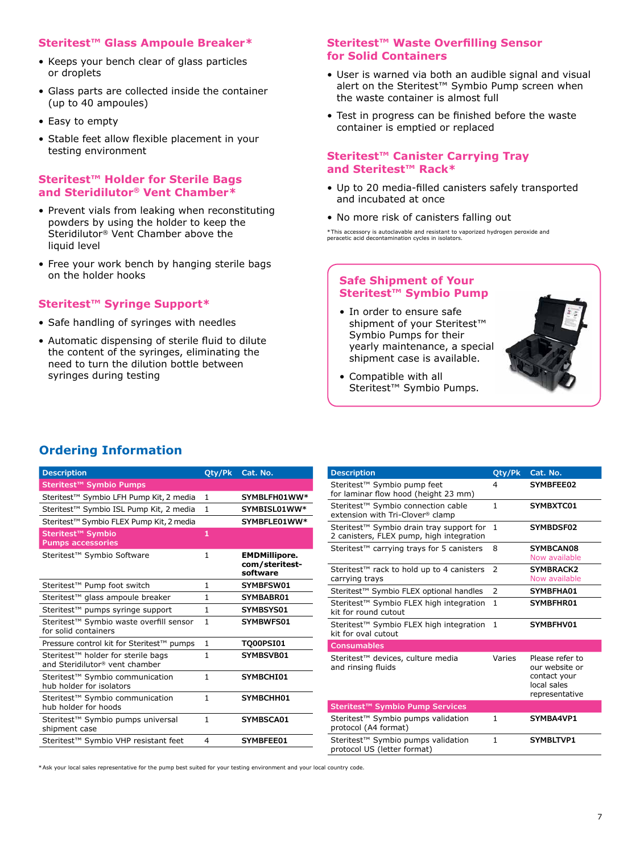#### **Steritest™ Glass Ampoule Breaker\***

- Keeps your bench clear of glass particles or droplets
- Glass parts are collected inside the container (up to 40 ampoules)
- Easy to empty
- Stable feet allow flexible placement in your testing environment

#### **Steritest™ Holder for Sterile Bags and Steridilutor® Vent Chamber\***

- Prevent vials from leaking when reconstituting powders by using the holder to keep the Steridilutor® Vent Chamber above the liquid level
- Free your work bench by hanging sterile bags on the holder hooks

# **Steritest™ Syringe Support\***

- Safe handling of syringes with needles
- Automatic dispensing of sterile fluid to dilute the content of the syringes, eliminating the need to turn the dilution bottle between syringes during testing

#### **Steritest™ Waste Overfilling Sensor for Solid Containers**

- User is warned via both an audible signal and visual alert on the Steritest™ Symbio Pump screen when the waste container is almost full
- Test in progress can be finished before the waste container is emptied or replaced

#### **Steritest™ Canister Carrying Tray and Steritest™ Rack\***

- Up to 20 media-filled canisters safely transported and incubated at once
- No more risk of canisters falling out

\*This accessory is autoclavable and resistant to vaporized hydrogen peroxide and peracetic acid decontamination cycles in isolators.

# **Safe Shipment of Your Steritest™ Symbio Pump**

• In order to ensure safe shipment of your Steritest<sup>™</sup> Symbio Pumps for their yearly maintenance, a special shipment case is available.



• Compatible with all Steritest™ Symbio Pumps.

| Steritest <sup>™</sup> Symbio Pumps                                              |                |                                                    |
|----------------------------------------------------------------------------------|----------------|----------------------------------------------------|
| Steritest <sup>™</sup> Symbio LFH Pump Kit, 2 media                              | 1              | SYMBLFH01WW*                                       |
| Steritest <sup>™</sup> Symbio ISL Pump Kit, 2 media                              | 1              | SYMBISL01WW*                                       |
| Steritest <sup>™</sup> Symbio FLEX Pump Kit, 2 media                             |                | SYMBFLE01WW*                                       |
| Steritest <sup>™</sup> Symbio<br><b>Pumps accessories</b>                        | 1              |                                                    |
| Steritest™ Symbio Software                                                       | 1              | <b>EMDMillipore.</b><br>com/steritest-<br>software |
| Steritest <sup>™</sup> Pump foot switch                                          | $\mathbf{1}$   | SYMBFSW01                                          |
| Steritest™ glass ampoule breaker                                                 | 1              | SYMBABR01                                          |
| Steritest <sup>™</sup> pumps syringe support                                     | $\mathbf{1}$   | SYMBSYS01                                          |
| Steritest™ Symbio waste overfill sensor<br>for solid containers                  | $\mathbf{1}$   | SYMBWFS01                                          |
| Pressure control kit for Steritest™ pumps                                        | $\mathbf{1}$   | <b>TO00PSI01</b>                                   |
| Steritest <sup>™</sup> holder for sterile bags<br>and Steridilutor® vent chamber | $\mathbf{1}$   | SYMBSVB01                                          |
| Steritest <sup>™</sup> Symbio communication<br>hub holder for isolators          | $\mathbf{1}$   | SYMBCHI01                                          |
| Steritest™ Symbio communication<br>hub holder for hoods                          | 1              | SYMBCHH01                                          |
| Steritest <sup>™</sup> Symbio pumps universal<br>shipment case                   | $\mathbf{1}$   | SYMBSCA01                                          |
| Steritest <sup>™</sup> Symbio VHP resistant feet                                 | $\overline{4}$ | SYMBFEE01                                          |
|                                                                                  |                |                                                    |

|               | Cat. No.                                                                           |
|---------------|------------------------------------------------------------------------------------|
| 4             | SYMBFEE02                                                                          |
| 1             | SYMBXTC01                                                                          |
| 1             | SYMBDSF02                                                                          |
| 8             | SYMBCAN08<br>Now available                                                         |
| $\mathcal{P}$ | <b>SYMBRACK2</b><br>Now available                                                  |
| 2             | SYMBFHA01                                                                          |
| $\mathbf{1}$  | SYMBFHR01                                                                          |
| $\mathbf{1}$  | SYMBFHV01                                                                          |
|               |                                                                                    |
| Varies        | Please refer to<br>our website or<br>contact your<br>local sales<br>representative |
|               |                                                                                    |
| $\mathbf{1}$  | SYMBA4VP1                                                                          |
| $\mathbf{1}$  | SYMBLTVP1                                                                          |
|               | Oty/Pk                                                                             |

\*Ask your local sales representative for the pump best suited for your testing environment and your local country code.

# **Ordering Information**

**Description Quarter Caterral Caterral Caterral Caterral Caterral Caterral Caterral Caterral Caterral Caterral Caterral Caterral Caterral Caterral Caterral Caterral Caterral Caterral Caterral Caterral Caterral Caterral**